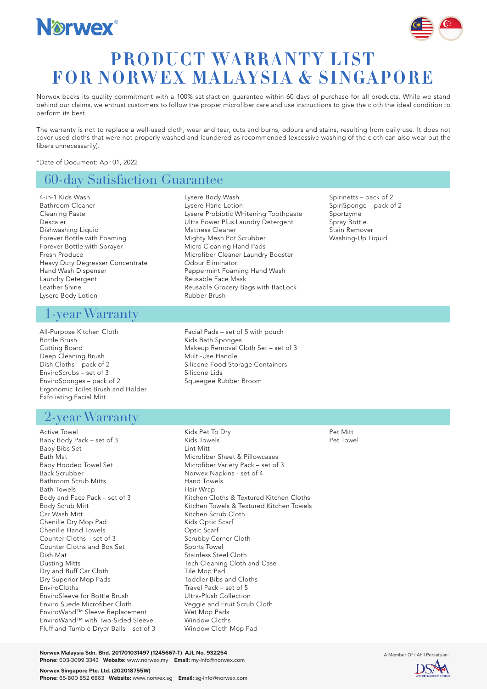



# **PRODUCT WARRANTY LIST FOR NORWEX MALAYSIA & SINGAPORE**

Norwex backs its quality commitment with a 100% satisfaction guarantee within 60 days of purchase for all products. While we stand behind our claims, we entrust customers to follow the proper microfiber care and use instructions to give the cloth the ideal condition to perform its best.

The warranty is not to replace a well-used cloth, wear and tear, cuts and burns, odours and stains, resulting from daily use. It does not cover used cloths that were not properly washed and laundered as recommended (excessive washing of the cloth can also wear out the fibers unnecessarily).

> Lysere Probiotic Whitening Toothpaste Ultra Power Plus Laundry Detergent

Microfiber Cleaner Laundry Booster

Reusable Grocery Bags with BacLock

Peppermint Foaming Hand Wash

Lysere Body Wash Lysere Hand Lotion

Mattress Cleaner

Odour Eliminator

Rubber Brush

Reusable Face Mask

Mighty Mesh Pot Scrubber Micro Cleaning Hand Pads

\*Date of Document: Apr 01, 2022

## 60-day Satisfaction Guarantee

4-in-1 Kids Wash Bathroom Cleaner Cleaning Paste Descaler Dishwashing Liquid Forever Bottle with Foaming Forever Bottle with Sprayer Fresh Produce Heavy Duty Degreaser Concentrate Hand Wash Dispenser Laundry Detergent Leather Shine Lysere Body Lotion

### 1-year Warranty

All-Purpose Kitchen Cloth Bottle Brush Cutting Board Deep Cleaning Brush Dish Cloths – pack of 2 EnviroScrubs – set of 3 EnviroSponges – pack of 2 Ergonomic Toilet Brush and Holder Exfoliating Facial Mitt

## 2-year Warranty

Active Towel Baby Body Pack – set of 3 Baby Bibs Set Bath Mat Baby Hooded Towel Set Back Scrubber Bathroom Scrub Mitts Bath Towels Body and Face Pack – set of 3 Body Scrub Mitt Car Wash Mitt Chenille Dry Mop Pad Chenille Hand Towels Counter Cloths – set of 3 Counter Cloths and Box Set Dish Mat Dusting Mitts Dry and Buff Car Cloth Dry Superior Mop Pads EnviroCloths EnviroSleeve for Bottle Brush Enviro Suede Microfiber Cloth EnviroWand™ Sleeve Replacement EnviroWand™ with Two-Sided Sleeve Fluff and Tumble Dryer Balls – set of 3

Facial Pads – set of 5 with pouch Kids Bath Sponges Makeup Removal Cloth Set – set of 3 Multi-Use Handle Silicone Food Storage Containers Silicone Lids

Spirinetts – pack of 2 SpiriSponge – pack of 2 Sportzyme Spray Bottle Stain Remover Washing-Up Liquid

Squeegee Rubber Broom

Kids Pet To Dry Kids Towels Lint Mitt

Hand Towels Hair Wrap

Kitchen Scrub Cloth Kids Optic Scarf Optic Scarf

Scrubby Corner Cloth Sports Towel Stainless Steel Cloth

Toddler Bibs and Cloths Travel Pack – set of 5 Ultra-Plush Collection Veggie and Fruit Scrub Cloth

Tile Mop Pad

Wet Mop Pads Window Cloths Window Cloth Mop Pad

Tech Cleaning Cloth and Case

Microfiber Sheet & Pillowcases Microfiber Variety Pack – set of 3 Norwex Napkins - set of 4

Kitchen Cloths & Textured Kitchen Cloths Kitchen Towels & Textured Kitchen Towels

Pet Mitt Pet Towel

**Norwex Malaysia Sdn. Bhd. 201701031497 (1245667-T) AJL No. 932254** A Member Of / Ahli **Persatuan: A Member Of / Ahli Persatuan: A Member Of / Ahli Persatuan: A Member Of / Ahli Persatuan: A Member Of / Ahli Persatuan: A M Phone:** 603-3099 3343 **Website:** www.norwex.my **Email:** my-info@norwex.com